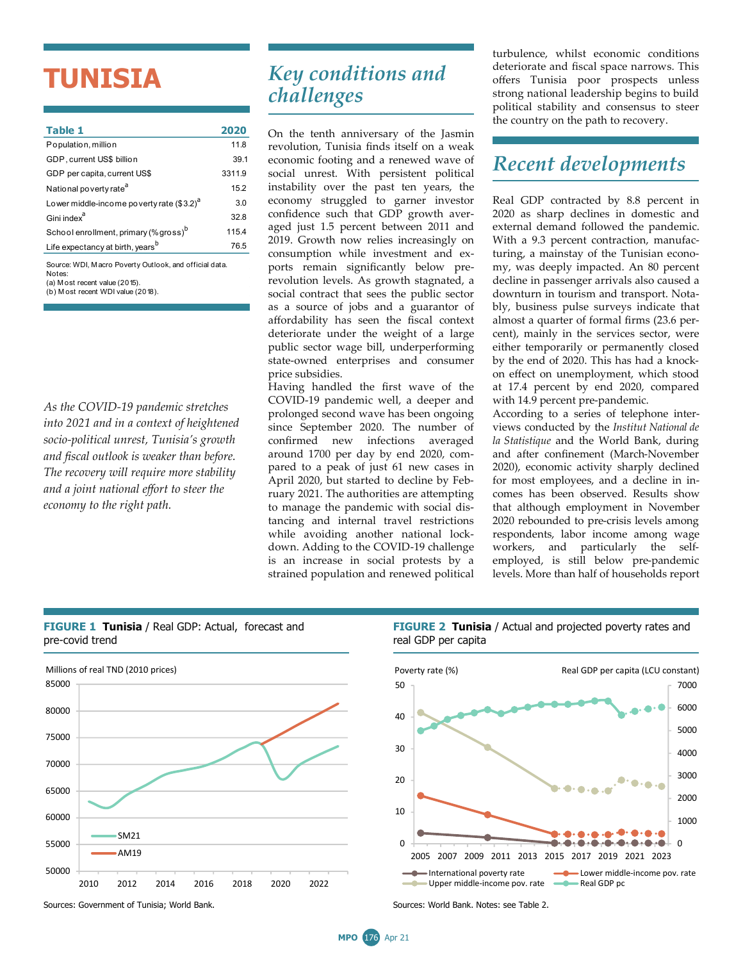## **TUNISIA**

| Table 1                                                          | 2020   |  |  |  |
|------------------------------------------------------------------|--------|--|--|--|
| Population, million                                              | 11.8   |  |  |  |
| GDP, current US\$ billion                                        | 39.1   |  |  |  |
| GDP per capita, current US\$                                     | 3311.9 |  |  |  |
| National poverty rate <sup>a</sup>                               | 15.2   |  |  |  |
| Lower middle-income poverty rate $(3.2)^d$                       | 3.0    |  |  |  |
| Gini index <sup>a</sup>                                          | 32 B   |  |  |  |
| School enrollment, primary (% gross) <sup>b</sup>                | 115.4  |  |  |  |
| Life expectancy at birth, years <sup>b</sup>                     | 76.5   |  |  |  |
| Source: WDI. Macro Poverty Outlook, and official data.<br>Notes: |        |  |  |  |

(a) M ost recent value (2015). (b) M ost recent WDI value (2018).

*As the COVID-19 pandemic stretches into 2021 and in a context of heightened socio-political unrest, Tunisia's growth and fiscal outlook is weaker than before. The recovery will require more stability and a joint national effort to steer the economy to the right path.*

## *Key conditions and challenges*

On the tenth anniversary of the Jasmin revolution, Tunisia finds itself on a weak economic footing and a renewed wave of social unrest. With persistent political instability over the past ten years, the economy struggled to garner investor confidence such that GDP growth averaged just 1.5 percent between 2011 and 2019. Growth now relies increasingly on consumption while investment and exports remain significantly below prerevolution levels. As growth stagnated, a social contract that sees the public sector as a source of jobs and a guarantor of affordability has seen the fiscal context deteriorate under the weight of a large public sector wage bill, underperforming state-owned enterprises and consumer price subsidies.

Having handled the first wave of the COVID-19 pandemic well, a deeper and prolonged second wave has been ongoing since September 2020. The number of confirmed new infections averaged around 1700 per day by end 2020, compared to a peak of just 61 new cases in April 2020, but started to decline by February 2021. The authorities are attempting to manage the pandemic with social distancing and internal travel restrictions while avoiding another national lockdown. Adding to the COVID-19 challenge is an increase in social protests by a strained population and renewed political turbulence, whilst economic conditions deteriorate and fiscal space narrows. This offers Tunisia poor prospects unless strong national leadership begins to build political stability and consensus to steer the country on the path to recovery.

## *Recent developments*

Real GDP contracted by 8.8 percent in 2020 as sharp declines in domestic and external demand followed the pandemic. With a 9.3 percent contraction, manufacturing, a mainstay of the Tunisian economy, was deeply impacted. An 80 percent decline in passenger arrivals also caused a downturn in tourism and transport. Notably, business pulse surveys indicate that almost a quarter of formal firms (23.6 percent), mainly in the services sector, were either temporarily or permanently closed by the end of 2020. This has had a knockon effect on unemployment, which stood at 17.4 percent by end 2020, compared with 14.9 percent pre-pandemic.

According to a series of telephone interviews conducted by the *Institut National de la Statistique* and the World Bank, during and after confinement (March-November 2020), economic activity sharply declined for most employees, and a decline in incomes has been observed. Results show that although employment in November 2020 rebounded to pre-crisis levels among respondents, labor income among wage workers, and particularly the selfemployed, is still below pre-pandemic levels. More than half of households report



**FIGURE 1 Tunisia** / Real GDP: Actual, forecast and

**FIGURE 2 Tunisia** / Actual and projected poverty rates and real GDP per capita



Sources: Government of Tunisia; World Bank. Sources: World Bank. Notes: see Table 2.